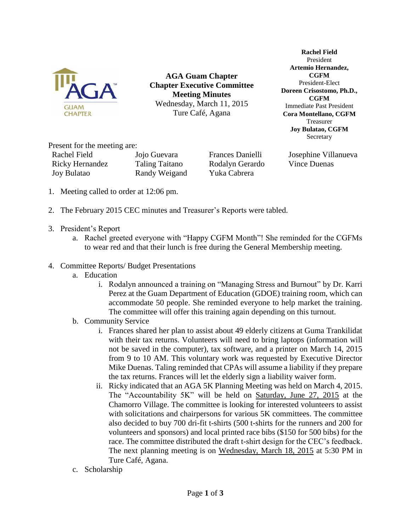

**AGA Guam Chapter Chapter Executive Committee Meeting Minutes** Wednesday, March 11, 2015 Ture Café, Agana

**Rachel Field** President **Artemio Hernandez, CGFM** President-Elect **Doreen Crisostomo, Ph.D., CGFM** Immediate Past President **Cora Montellano, CGFM** Treasurer **Joy Bulatao, CGFM** Secretary

Present for the meeting are:

| Rachel Field           | Jojo Gueva |
|------------------------|------------|
| <b>Ricky Hernandez</b> | Taling Tai |
| <b>Joy Bulatao</b>     | Randy We   |

itano Rodalyn Gerardo Vince Duenas eigand Yuka Cabrera

ara Frances Danielli Josephine Villanueva

- 1. Meeting called to order at 12:06 pm.
- 2. The February 2015 CEC minutes and Treasurer's Reports were tabled.
- 3. President's Report
	- a. Rachel greeted everyone with "Happy CGFM Month"! She reminded for the CGFMs to wear red and that their lunch is free during the General Membership meeting.
- 4. Committee Reports/ Budget Presentations
	- a. Education
		- i. Rodalyn announced a training on "Managing Stress and Burnout" by Dr. Karri Perez at the Guam Department of Education (GDOE) training room, which can accommodate 50 people. She reminded everyone to help market the training. The committee will offer this training again depending on this turnout.
	- b. Community Service
		- i. Frances shared her plan to assist about 49 elderly citizens at Guma Trankilidat with their tax returns. Volunteers will need to bring laptops (information will not be saved in the computer), tax software, and a printer on March 14, 2015 from 9 to 10 AM. This voluntary work was requested by Executive Director Mike Duenas. Taling reminded that CPAs will assume a liability if they prepare the tax returns. Frances will let the elderly sign a liability waiver form.
		- ii. Ricky indicated that an AGA 5K Planning Meeting was held on March 4, 2015. The "Accountability 5K" will be held on Saturday, June 27, 2015 at the Chamorro Village. The committee is looking for interested volunteers to assist with solicitations and chairpersons for various 5K committees. The committee also decided to buy 700 dri-fit t-shirts (500 t-shirts for the runners and 200 for volunteers and sponsors) and local printed race bibs (\$150 for 500 bibs) for the race. The committee distributed the draft t-shirt design for the CEC's feedback. The next planning meeting is on Wednesday, March 18, 2015 at 5:30 PM in Ture Café, Agana.
	- c. Scholarship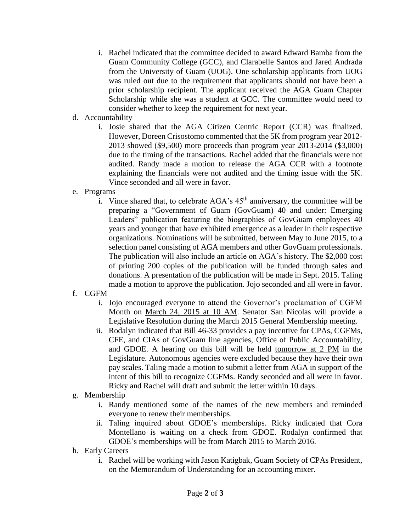- i. Rachel indicated that the committee decided to award Edward Bamba from the Guam Community College (GCC), and Clarabelle Santos and Jared Andrada from the University of Guam (UOG). One scholarship applicants from UOG was ruled out due to the requirement that applicants should not have been a prior scholarship recipient. The applicant received the AGA Guam Chapter Scholarship while she was a student at GCC. The committee would need to consider whether to keep the requirement for next year.
- d. Accountability
	- i. Josie shared that the AGA Citizen Centric Report (CCR) was finalized. However, Doreen Crisostomo commented that the 5K from program year 2012- 2013 showed (\$9,500) more proceeds than program year 2013-2014 (\$3,000) due to the timing of the transactions. Rachel added that the financials were not audited. Randy made a motion to release the AGA CCR with a footnote explaining the financials were not audited and the timing issue with the 5K. Vince seconded and all were in favor.
- e. Programs
	- i. Vince shared that, to celebrate  $AGA$ 's  $45<sup>th</sup>$  anniversary, the committee will be preparing a "Government of Guam (GovGuam) 40 and under: Emerging Leaders" publication featuring the biographies of GovGuam employees 40 years and younger that have exhibited emergence as a leader in their respective organizations. Nominations will be submitted, between May to June 2015, to a selection panel consisting of AGA members and other GovGuam professionals. The publication will also include an article on AGA's history. The \$2,000 cost of printing 200 copies of the publication will be funded through sales and donations. A presentation of the publication will be made in Sept. 2015. Taling made a motion to approve the publication. Jojo seconded and all were in favor.
- f. CGFM
	- i. Jojo encouraged everyone to attend the Governor's proclamation of CGFM Month on March 24, 2015 at 10 AM. Senator San Nicolas will provide a Legislative Resolution during the March 2015 General Membership meeting.
	- ii. Rodalyn indicated that Bill 46-33 provides a pay incentive for CPAs, CGFMs, CFE, and CIAs of GovGuam line agencies, Office of Public Accountability, and GDOE. A hearing on this bill will be held tomorrow at 2 PM in the Legislature. Autonomous agencies were excluded because they have their own pay scales. Taling made a motion to submit a letter from AGA in support of the intent of this bill to recognize CGFMs. Randy seconded and all were in favor. Ricky and Rachel will draft and submit the letter within 10 days.
- g. Membership
	- i. Randy mentioned some of the names of the new members and reminded everyone to renew their memberships.
	- ii. Taling inquired about GDOE's memberships. Ricky indicated that Cora Montellano is waiting on a check from GDOE. Rodalyn confirmed that GDOE's memberships will be from March 2015 to March 2016.
- h. Early Careers
	- i. Rachel will be working with Jason Katigbak, Guam Society of CPAs President, on the Memorandum of Understanding for an accounting mixer.